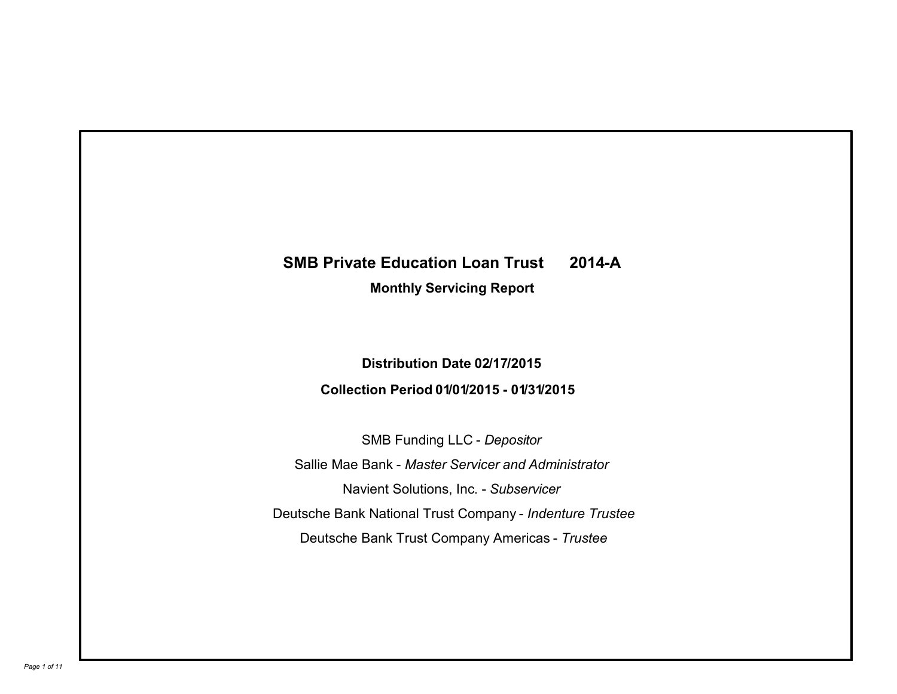# **SMB Private Education Loan Trust 2014-A Monthly Servicing Report**

## **Distribution Date 02/17/2015 Collection Period 01/01/2015 - 01/31/2015**

SMB Funding LLC - *Depositor* Sallie Mae Bank - *Master Servicer and Administrator* Deutsche Bank National Trust Company - *Indenture Trustee* Deutsche Bank Trust Company Americas - *Trustee* Navient Solutions, Inc. - *Subservicer*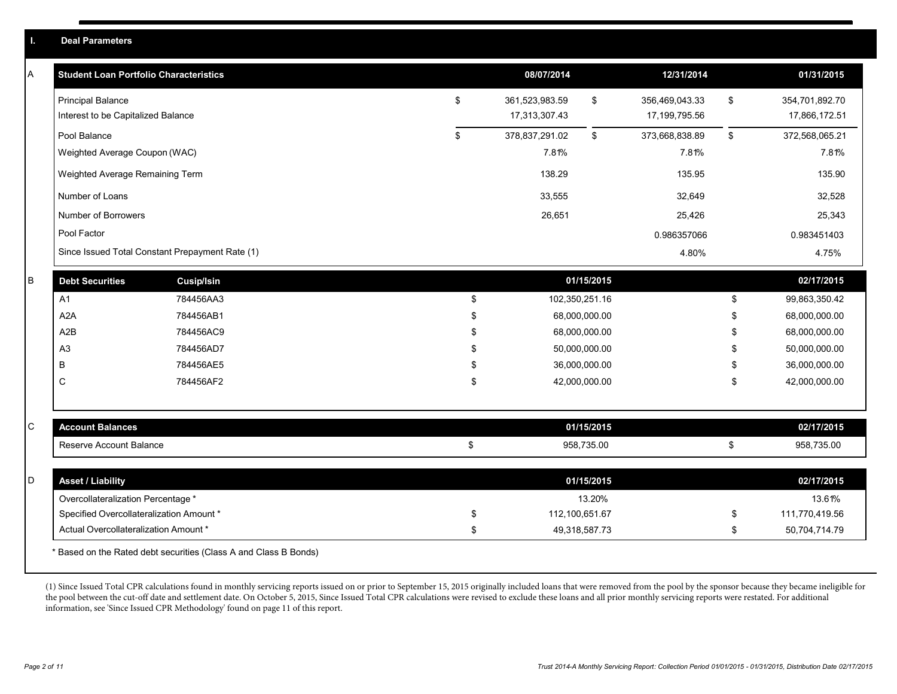| L. | <b>Deal Parameters</b>                                         |                                                                  |    |                                 |               |                                 |              |                                 |
|----|----------------------------------------------------------------|------------------------------------------------------------------|----|---------------------------------|---------------|---------------------------------|--------------|---------------------------------|
| A  | <b>Student Loan Portfolio Characteristics</b>                  |                                                                  |    | 08/07/2014                      |               | 12/31/2014                      |              | 01/31/2015                      |
|    | <b>Principal Balance</b><br>Interest to be Capitalized Balance |                                                                  | \$ | 361,523,983.59<br>17,313,307.43 | \$            | 356,469,043.33<br>17,199,795.56 | \$           | 354,701,892.70<br>17,866,172.51 |
|    | Pool Balance                                                   |                                                                  | \$ | 378,837,291.02                  | \$            | 373,668,838.89                  | $\mathbb{S}$ | 372,568,065.21                  |
|    | Weighted Average Coupon (WAC)                                  |                                                                  |    | 7.81%                           |               | 7.81%                           |              | 7.81%                           |
|    | Weighted Average Remaining Term                                |                                                                  |    | 138.29                          |               | 135.95                          |              | 135.90                          |
|    | Number of Loans                                                |                                                                  |    | 33,555                          |               | 32,649                          |              | 32,528                          |
|    | Number of Borrowers                                            |                                                                  |    | 26,651                          |               | 25,426                          |              | 25,343                          |
|    | Pool Factor                                                    |                                                                  |    |                                 |               | 0.986357066                     |              | 0.983451403                     |
|    |                                                                | Since Issued Total Constant Prepayment Rate (1)                  |    |                                 |               | 4.80%                           |              | 4.75%                           |
| B  | <b>Debt Securities</b>                                         | <b>Cusip/Isin</b>                                                |    |                                 | 01/15/2015    |                                 |              | 02/17/2015                      |
|    | A <sub>1</sub>                                                 | 784456AA3                                                        | \$ | 102,350,251.16                  |               |                                 | \$           | 99,863,350.42                   |
|    | A <sub>2</sub> A                                               | 784456AB1                                                        | \$ |                                 | 68,000,000.00 |                                 | \$           | 68,000,000.00                   |
|    | A2B                                                            | 784456AC9                                                        | \$ |                                 | 68,000,000.00 |                                 | \$           | 68,000,000.00                   |
|    | A <sub>3</sub>                                                 | 784456AD7                                                        |    |                                 | 50,000,000.00 |                                 | \$           | 50,000,000.00                   |
|    | B                                                              | 784456AE5                                                        | £. |                                 | 36,000,000.00 |                                 | £.           | 36,000,000.00                   |
|    | C                                                              | 784456AF2                                                        | \$ |                                 | 42,000,000.00 |                                 | \$           | 42,000,000.00                   |
|    |                                                                |                                                                  |    |                                 |               |                                 |              |                                 |
| C  | <b>Account Balances</b>                                        |                                                                  |    |                                 | 01/15/2015    |                                 |              | 02/17/2015                      |
|    | Reserve Account Balance                                        |                                                                  | \$ |                                 | 958,735.00    |                                 | \$           | 958,735.00                      |
| D  | <b>Asset / Liability</b>                                       |                                                                  |    |                                 | 01/15/2015    |                                 |              | 02/17/2015                      |
|    | Overcollateralization Percentage *                             |                                                                  |    |                                 | 13.20%        |                                 |              | 13.61%                          |
|    | Specified Overcollateralization Amount *                       |                                                                  | \$ | 112,100,651.67                  |               |                                 | \$           | 111,770,419.56                  |
|    | Actual Overcollateralization Amount *                          |                                                                  | \$ | 49,318,587.73                   |               |                                 | \$           | 50,704,714.79                   |
|    |                                                                | * Based on the Rated debt securities (Class A and Class B Bonds) |    |                                 |               |                                 |              |                                 |

(1) Since Issued Total CPR calculations found in monthly servicing reports issued on or prior to September 15, 2015 originally included loans that were removed from the pool by the sponsor because they became ineligible for the pool between the cut-off date and settlement date. On October 5, 2015, Since Issued Total CPR calculations were revised to exclude these loans and all prior monthly servicing reports were restated. For additional information, see 'Since Issued CPR Methodology' found on page 11 of this report.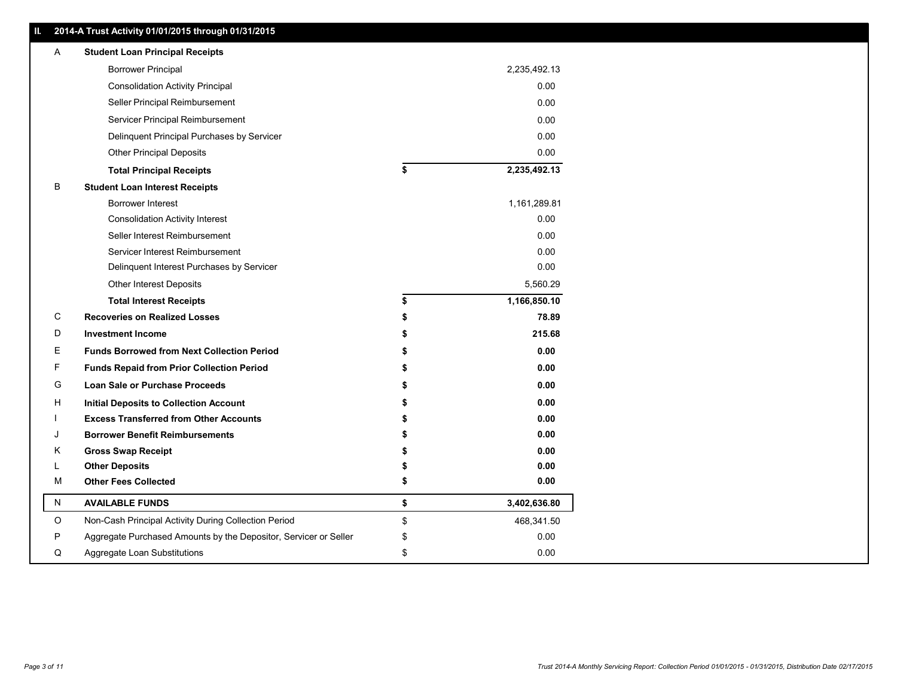|             | 2014-A Trust Activity 01/01/2015 through 01/31/2015              |    |              |
|-------------|------------------------------------------------------------------|----|--------------|
| A           | <b>Student Loan Principal Receipts</b>                           |    |              |
|             | <b>Borrower Principal</b>                                        |    | 2,235,492.13 |
|             | <b>Consolidation Activity Principal</b>                          |    | 0.00         |
|             | Seller Principal Reimbursement                                   |    | 0.00         |
|             | Servicer Principal Reimbursement                                 |    | 0.00         |
|             | Delinquent Principal Purchases by Servicer                       |    | 0.00         |
|             | Other Principal Deposits                                         |    | 0.00         |
|             | <b>Total Principal Receipts</b>                                  | \$ | 2,235,492.13 |
| В           | <b>Student Loan Interest Receipts</b>                            |    |              |
|             | Borrower Interest                                                |    | 1,161,289.81 |
|             | <b>Consolidation Activity Interest</b>                           |    | 0.00         |
|             | Seller Interest Reimbursement                                    |    | 0.00         |
|             | Servicer Interest Reimbursement                                  |    | 0.00         |
|             | Delinquent Interest Purchases by Servicer                        |    | 0.00         |
|             | Other Interest Deposits                                          |    | 5,560.29     |
|             | <b>Total Interest Receipts</b>                                   | \$ | 1,166,850.10 |
| ${\rm C}$   | <b>Recoveries on Realized Losses</b>                             |    | 78.89        |
| D           | <b>Investment Income</b>                                         |    | 215.68       |
| Ε           | <b>Funds Borrowed from Next Collection Period</b>                |    | 0.00         |
| F           | <b>Funds Repaid from Prior Collection Period</b>                 |    | 0.00         |
| G           | Loan Sale or Purchase Proceeds                                   |    | 0.00         |
| н           | <b>Initial Deposits to Collection Account</b>                    |    | 0.00         |
|             | <b>Excess Transferred from Other Accounts</b>                    |    | 0.00         |
| J           | <b>Borrower Benefit Reimbursements</b>                           |    | 0.00         |
| Κ           | <b>Gross Swap Receipt</b>                                        |    | 0.00         |
|             | <b>Other Deposits</b>                                            |    | 0.00         |
| M           | <b>Other Fees Collected</b>                                      | S  | 0.00         |
| N           | <b>AVAILABLE FUNDS</b>                                           | \$ | 3,402,636.80 |
| $\mathsf O$ | Non-Cash Principal Activity During Collection Period             | \$ | 468,341.50   |
| P           | Aggregate Purchased Amounts by the Depositor, Servicer or Seller | \$ | 0.00         |
| Q           | Aggregate Loan Substitutions                                     | \$ | 0.00         |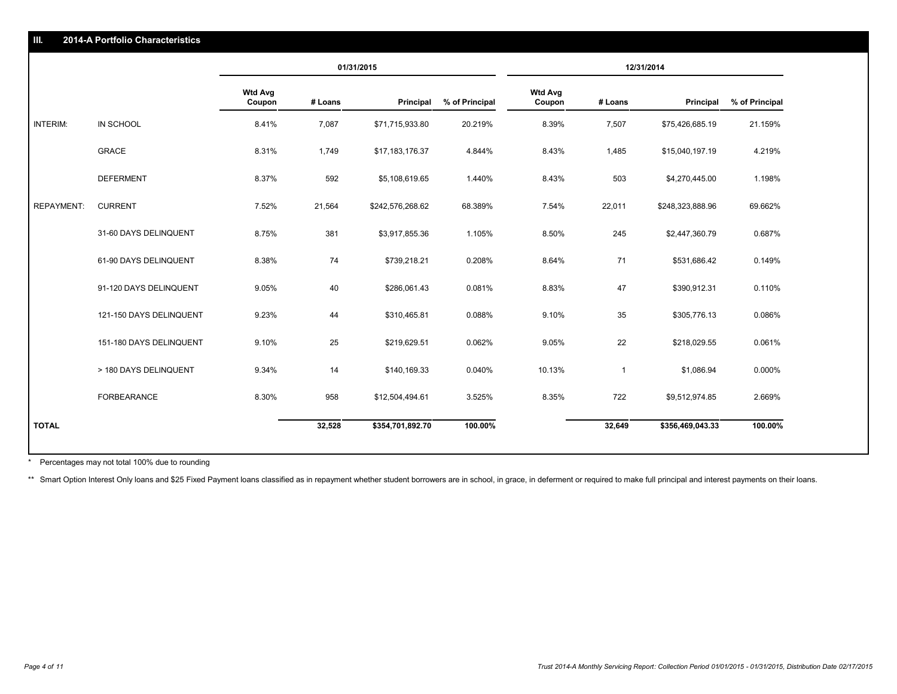|                   |                         | 01/31/2015               |         |                  | 12/31/2014     |                          |              |                  |                |
|-------------------|-------------------------|--------------------------|---------|------------------|----------------|--------------------------|--------------|------------------|----------------|
|                   |                         | <b>Wtd Avg</b><br>Coupon | # Loans | Principal        | % of Principal | <b>Wtd Avg</b><br>Coupon | # Loans      | Principal        | % of Principal |
| <b>INTERIM:</b>   | IN SCHOOL               | 8.41%                    | 7,087   | \$71,715,933.80  | 20.219%        | 8.39%                    | 7,507        | \$75,426,685.19  | 21.159%        |
|                   | <b>GRACE</b>            | 8.31%                    | 1,749   | \$17,183,176.37  | 4.844%         | 8.43%                    | 1,485        | \$15,040,197.19  | 4.219%         |
|                   | <b>DEFERMENT</b>        | 8.37%                    | 592     | \$5,108,619.65   | 1.440%         | 8.43%                    | 503          | \$4,270,445.00   | 1.198%         |
| <b>REPAYMENT:</b> | <b>CURRENT</b>          | 7.52%                    | 21,564  | \$242,576,268.62 | 68.389%        | 7.54%                    | 22,011       | \$248,323,888.96 | 69.662%        |
|                   | 31-60 DAYS DELINQUENT   | 8.75%                    | 381     | \$3,917,855.36   | 1.105%         | 8.50%                    | 245          | \$2,447,360.79   | 0.687%         |
|                   | 61-90 DAYS DELINQUENT   | 8.38%                    | 74      | \$739,218.21     | 0.208%         | 8.64%                    | 71           | \$531,686.42     | 0.149%         |
|                   | 91-120 DAYS DELINQUENT  | 9.05%                    | 40      | \$286,061.43     | 0.081%         | 8.83%                    | 47           | \$390,912.31     | 0.110%         |
|                   | 121-150 DAYS DELINQUENT | 9.23%                    | 44      | \$310,465.81     | 0.088%         | 9.10%                    | 35           | \$305,776.13     | 0.086%         |
|                   | 151-180 DAYS DELINQUENT | 9.10%                    | 25      | \$219,629.51     | 0.062%         | 9.05%                    | 22           | \$218,029.55     | 0.061%         |
|                   | > 180 DAYS DELINQUENT   | 9.34%                    | 14      | \$140,169.33     | 0.040%         | 10.13%                   | $\mathbf{1}$ | \$1,086.94       | 0.000%         |
|                   | FORBEARANCE             | 8.30%                    | 958     | \$12,504,494.61  | 3.525%         | 8.35%                    | 722          | \$9,512,974.85   | 2.669%         |
| <b>TOTAL</b>      |                         |                          | 32,528  | \$354,701,892.70 | 100.00%        |                          | 32,649       | \$356,469,043.33 | 100.00%        |

Percentages may not total 100% due to rounding \*

**2014-A Portfolio Characteristics**

\*\* Smart Option Interest Only loans and \$25 Fixed Payment loans classified as in repayment whether student borrowers are in school, in grace, in deferment or required to make full principal and interest payments on their l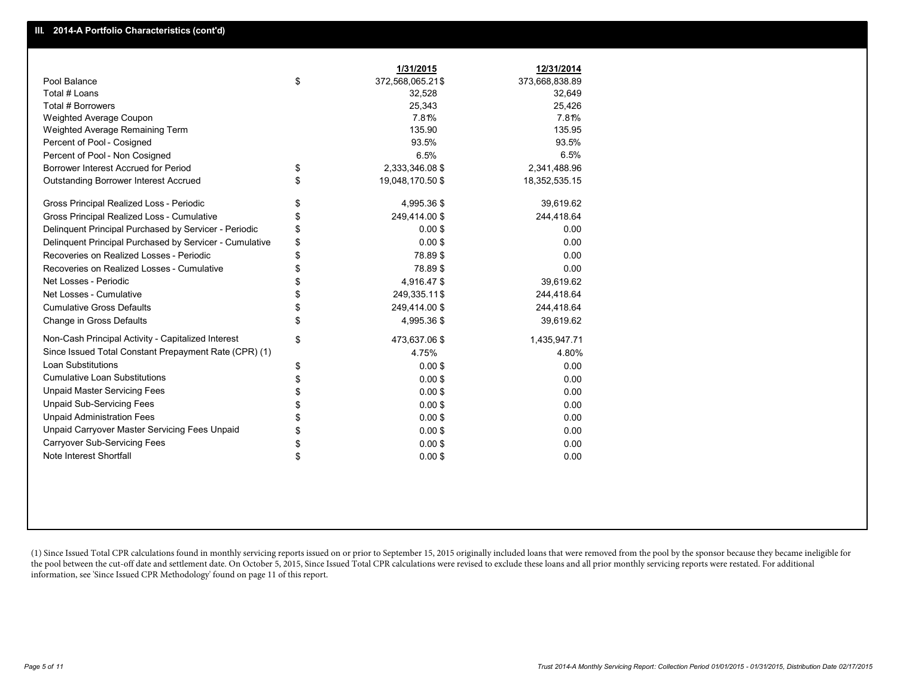|                                                         | 1/31/2015              | 12/31/2014     |
|---------------------------------------------------------|------------------------|----------------|
| Pool Balance                                            | \$<br>372,568,065.21\$ | 373,668,838.89 |
| Total # Loans                                           | 32,528                 | 32,649         |
| Total # Borrowers                                       | 25,343                 | 25,426         |
| <b>Weighted Average Coupon</b>                          | 7.81%                  | 7.81%          |
| Weighted Average Remaining Term                         | 135.90                 | 135.95         |
| Percent of Pool - Cosigned                              | 93.5%                  | 93.5%          |
| Percent of Pool - Non Cosigned                          | 6.5%                   | 6.5%           |
| Borrower Interest Accrued for Period                    | \$<br>2,333,346.08 \$  | 2,341,488.96   |
| <b>Outstanding Borrower Interest Accrued</b>            | \$<br>19,048,170.50 \$ | 18,352,535.15  |
| Gross Principal Realized Loss - Periodic                | \$<br>4,995.36 \$      | 39,619.62      |
| Gross Principal Realized Loss - Cumulative              | \$<br>249,414.00 \$    | 244,418.64     |
| Delinquent Principal Purchased by Servicer - Periodic   | \$<br>0.00S            | 0.00           |
| Delinquent Principal Purchased by Servicer - Cumulative | \$<br>0.00S            | 0.00           |
| Recoveries on Realized Losses - Periodic                | \$<br>78.89\$          | 0.00           |
| Recoveries on Realized Losses - Cumulative              | \$<br>78.89\$          | 0.00           |
| Net Losses - Periodic                                   | \$<br>4,916.47 \$      | 39,619.62      |
| Net Losses - Cumulative                                 | \$<br>249,335.11\$     | 244,418.64     |
| <b>Cumulative Gross Defaults</b>                        | \$<br>249,414.00 \$    | 244,418.64     |
| Change in Gross Defaults                                | \$<br>4,995.36 \$      | 39,619.62      |
| Non-Cash Principal Activity - Capitalized Interest      | \$<br>473,637.06 \$    | 1,435,947.71   |
| Since Issued Total Constant Prepayment Rate (CPR) (1)   | 4.75%                  | 4.80%          |
| Loan Substitutions                                      | \$<br>$0.00$ \$        | 0.00           |
| <b>Cumulative Loan Substitutions</b>                    | \$<br>$0.00$ \$        | 0.00           |
| <b>Unpaid Master Servicing Fees</b>                     | \$<br>$0.00$ \$        | 0.00           |
| <b>Unpaid Sub-Servicing Fees</b>                        | \$<br>$0.00$ \$        | 0.00           |
| <b>Unpaid Administration Fees</b>                       | \$<br>$0.00$ \$        | 0.00           |
| Unpaid Carryover Master Servicing Fees Unpaid           | \$<br>$0.00$ \$        | 0.00           |
| <b>Carryover Sub-Servicing Fees</b>                     | \$<br>$0.00$ \$        | 0.00           |
| Note Interest Shortfall                                 | \$<br>$0.00$ \$        | 0.00           |

(1) Since Issued Total CPR calculations found in monthly servicing reports issued on or prior to September 15, 2015 originally included loans that were removed from the pool by the sponsor because they became ineligible for the pool between the cut-off date and settlement date. On October 5, 2015, Since Issued Total CPR calculations were revised to exclude these loans and all prior monthly servicing reports were restated. For additional information, see 'Since Issued CPR Methodology' found on page 11 of this report.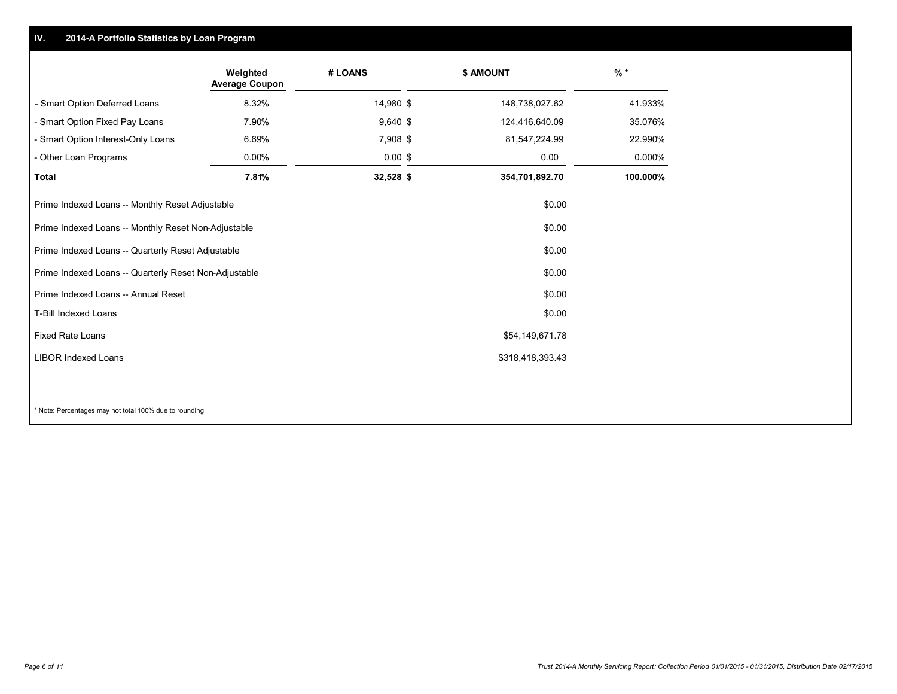#### **IV.2014-A Portfolio Statistics by Loan Program**

|                                                       | Weighted<br><b>Average Coupon</b> | # LOANS    |  | \$ AMOUNT        | $%$ *    |  |
|-------------------------------------------------------|-----------------------------------|------------|--|------------------|----------|--|
| - Smart Option Deferred Loans                         | 8.32%                             | 14,980 \$  |  | 148,738,027.62   | 41.933%  |  |
| - Smart Option Fixed Pay Loans                        | 7.90%                             | $9,640$ \$ |  | 124,416,640.09   | 35.076%  |  |
| - Smart Option Interest-Only Loans                    | 6.69%                             | 7,908 \$   |  | 81,547,224.99    | 22.990%  |  |
| - Other Loan Programs                                 | $0.00\%$                          | $0.00$ \$  |  | 0.00             | 0.000%   |  |
| <b>Total</b>                                          | 7.81%                             | 32,528 \$  |  | 354,701,892.70   | 100.000% |  |
| Prime Indexed Loans -- Monthly Reset Adjustable       |                                   |            |  | \$0.00           |          |  |
| Prime Indexed Loans -- Monthly Reset Non-Adjustable   |                                   |            |  | \$0.00           |          |  |
| Prime Indexed Loans -- Quarterly Reset Adjustable     |                                   |            |  | \$0.00           |          |  |
| Prime Indexed Loans -- Quarterly Reset Non-Adjustable |                                   |            |  | \$0.00           |          |  |
| Prime Indexed Loans -- Annual Reset                   | \$0.00                            |            |  |                  |          |  |
| T-Bill Indexed Loans<br>\$0.00                        |                                   |            |  |                  |          |  |
| <b>Fixed Rate Loans</b><br>\$54,149,671.78            |                                   |            |  |                  |          |  |
| <b>LIBOR Indexed Loans</b>                            |                                   |            |  | \$318,418,393.43 |          |  |
|                                                       |                                   |            |  |                  |          |  |

\* Note: Percentages may not total 100% due to rounding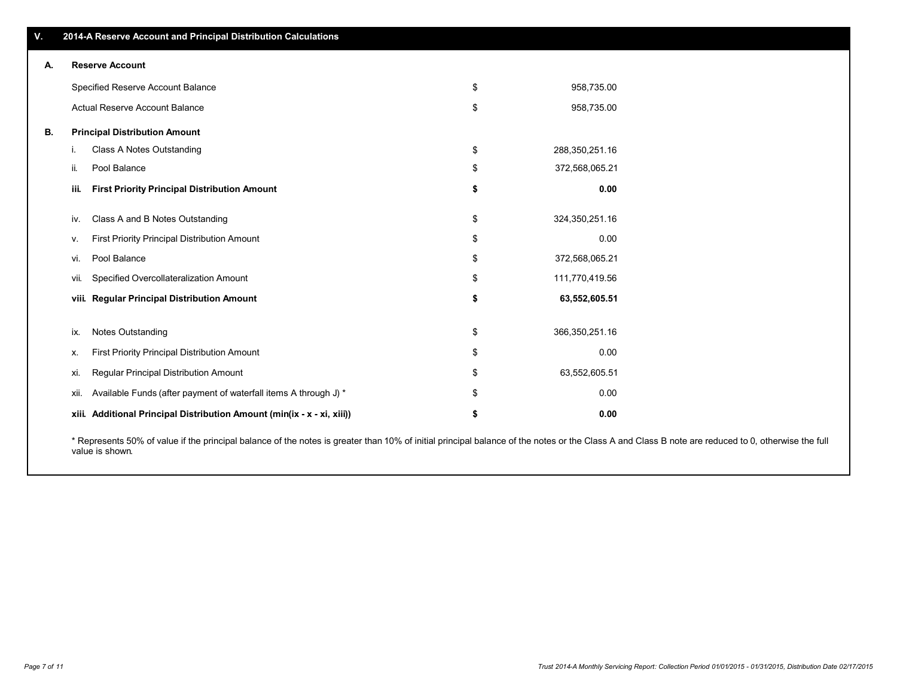| <b>Reserve Account</b><br>А.                   |                                                                  |                                                                                                                                                                                                                                                                        |                  |  |  |  |  |  |
|------------------------------------------------|------------------------------------------------------------------|------------------------------------------------------------------------------------------------------------------------------------------------------------------------------------------------------------------------------------------------------------------------|------------------|--|--|--|--|--|
|                                                |                                                                  | \$                                                                                                                                                                                                                                                                     | 958,735.00       |  |  |  |  |  |
|                                                |                                                                  | \$                                                                                                                                                                                                                                                                     | 958,735.00       |  |  |  |  |  |
| <b>Principal Distribution Amount</b><br>В.     |                                                                  |                                                                                                                                                                                                                                                                        |                  |  |  |  |  |  |
| i.                                             | Class A Notes Outstanding                                        | \$                                                                                                                                                                                                                                                                     | 288,350,251.16   |  |  |  |  |  |
| ii.                                            | Pool Balance                                                     | \$                                                                                                                                                                                                                                                                     | 372,568,065.21   |  |  |  |  |  |
| iii.                                           | <b>First Priority Principal Distribution Amount</b>              | \$                                                                                                                                                                                                                                                                     | 0.00             |  |  |  |  |  |
| iv.                                            | Class A and B Notes Outstanding                                  | \$                                                                                                                                                                                                                                                                     | 324,350,251.16   |  |  |  |  |  |
| ν.                                             | First Priority Principal Distribution Amount                     | \$                                                                                                                                                                                                                                                                     | 0.00             |  |  |  |  |  |
| Pool Balance<br>vi.                            |                                                                  | \$                                                                                                                                                                                                                                                                     | 372,568,065.21   |  |  |  |  |  |
| Specified Overcollateralization Amount<br>vii. |                                                                  | \$                                                                                                                                                                                                                                                                     | 111,770,419.56   |  |  |  |  |  |
|                                                |                                                                  | \$                                                                                                                                                                                                                                                                     | 63,552,605.51    |  |  |  |  |  |
| ix.                                            | Notes Outstanding                                                | \$                                                                                                                                                                                                                                                                     | 366, 350, 251.16 |  |  |  |  |  |
| х.                                             | First Priority Principal Distribution Amount                     | \$                                                                                                                                                                                                                                                                     | 0.00             |  |  |  |  |  |
| xi.                                            | Regular Principal Distribution Amount                            | \$                                                                                                                                                                                                                                                                     | 63,552,605.51    |  |  |  |  |  |
| xii.                                           | Available Funds (after payment of waterfall items A through J) * | \$                                                                                                                                                                                                                                                                     | 0.00             |  |  |  |  |  |
|                                                |                                                                  | \$                                                                                                                                                                                                                                                                     | 0.00             |  |  |  |  |  |
|                                                |                                                                  | 2014-A Reserve Account and Principal Distribution Calculations<br>Specified Reserve Account Balance<br><b>Actual Reserve Account Balance</b><br>viii. Regular Principal Distribution Amount<br>xiii. Additional Principal Distribution Amount (min(ix - x - xi, xiii)) |                  |  |  |  |  |  |

\* Represents 50% of value if the principal balance of the notes is greater than 10% of initial principal balance of the notes or the Class A and Class B note are reduced to 0, otherwise the full value is shown.

**V.**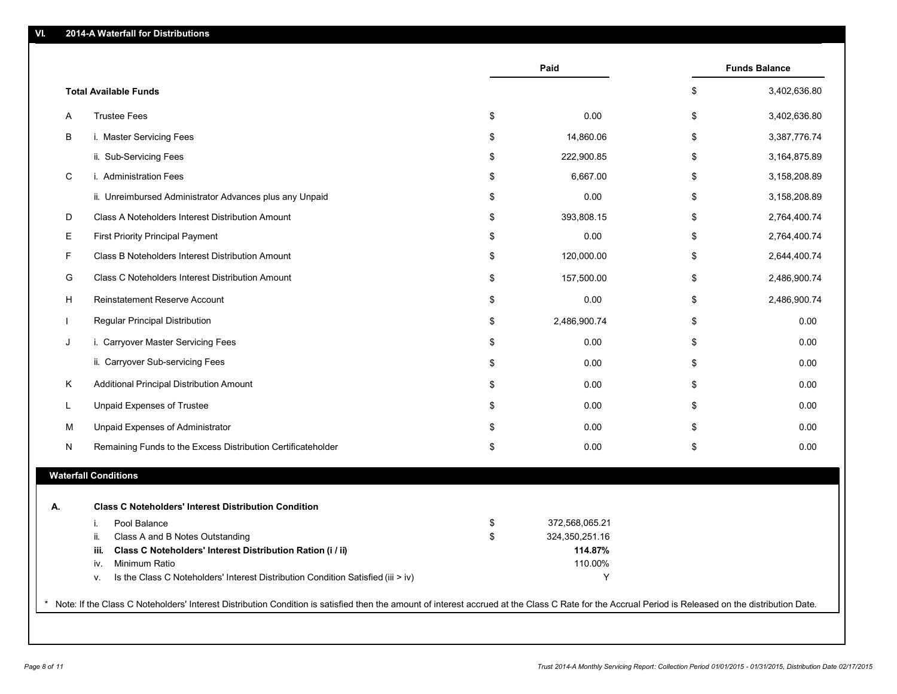|    | <b>Total Available Funds</b>                                                                                   |                      |                    |
|----|----------------------------------------------------------------------------------------------------------------|----------------------|--------------------|
|    |                                                                                                                |                      | \$<br>3,402,636.80 |
| A  | <b>Trustee Fees</b>                                                                                            | \$<br>0.00           | \$<br>3,402,636.80 |
| В  | i. Master Servicing Fees                                                                                       | \$<br>14,860.06      | \$<br>3,387,776.74 |
|    | ii. Sub-Servicing Fees                                                                                         | \$<br>222,900.85     | \$<br>3,164,875.89 |
| C  | i. Administration Fees                                                                                         | \$<br>6,667.00       | \$<br>3,158,208.89 |
|    | ii. Unreimbursed Administrator Advances plus any Unpaid                                                        | \$<br>0.00           | \$<br>3,158,208.89 |
| D  | Class A Noteholders Interest Distribution Amount                                                               | \$<br>393,808.15     | \$<br>2,764,400.74 |
| E. | First Priority Principal Payment                                                                               | \$<br>0.00           | \$<br>2,764,400.74 |
| F  | Class B Noteholders Interest Distribution Amount                                                               | \$<br>120,000.00     | \$<br>2,644,400.74 |
| G  | Class C Noteholders Interest Distribution Amount                                                               | \$<br>157,500.00     | \$<br>2,486,900.74 |
| н  | Reinstatement Reserve Account                                                                                  | \$<br>0.00           | \$<br>2,486,900.74 |
|    | Regular Principal Distribution                                                                                 | \$<br>2,486,900.74   | \$<br>0.00         |
| J  | i. Carryover Master Servicing Fees                                                                             | \$<br>0.00           | \$<br>0.00         |
|    | ii. Carryover Sub-servicing Fees                                                                               | \$<br>0.00           | \$<br>0.00         |
| K. | Additional Principal Distribution Amount                                                                       | \$<br>0.00           | \$<br>0.00         |
|    | <b>Unpaid Expenses of Trustee</b>                                                                              | \$<br>0.00           | \$<br>0.00         |
| M  | Unpaid Expenses of Administrator                                                                               | \$<br>0.00           | \$<br>0.00         |
| Ν  | Remaining Funds to the Excess Distribution Certificateholder                                                   | \$<br>0.00           | \$<br>0.00         |
|    | <b>Waterfall Conditions</b>                                                                                    |                      |                    |
| А. | <b>Class C Noteholders' Interest Distribution Condition</b>                                                    |                      |                    |
|    | Pool Balance<br>i.                                                                                             | \$<br>372,568,065.21 |                    |
|    | Class A and B Notes Outstanding<br>ii.                                                                         | \$<br>324,350,251.16 |                    |
|    | Class C Noteholders' Interest Distribution Ration (i / ii)<br>iii.                                             | 114.87%              |                    |
|    | Minimum Ratio<br>iv.<br>Is the Class C Noteholders' Interest Distribution Condition Satisfied (iii > iv)<br>ν. | 110.00%<br>Y         |                    |

\*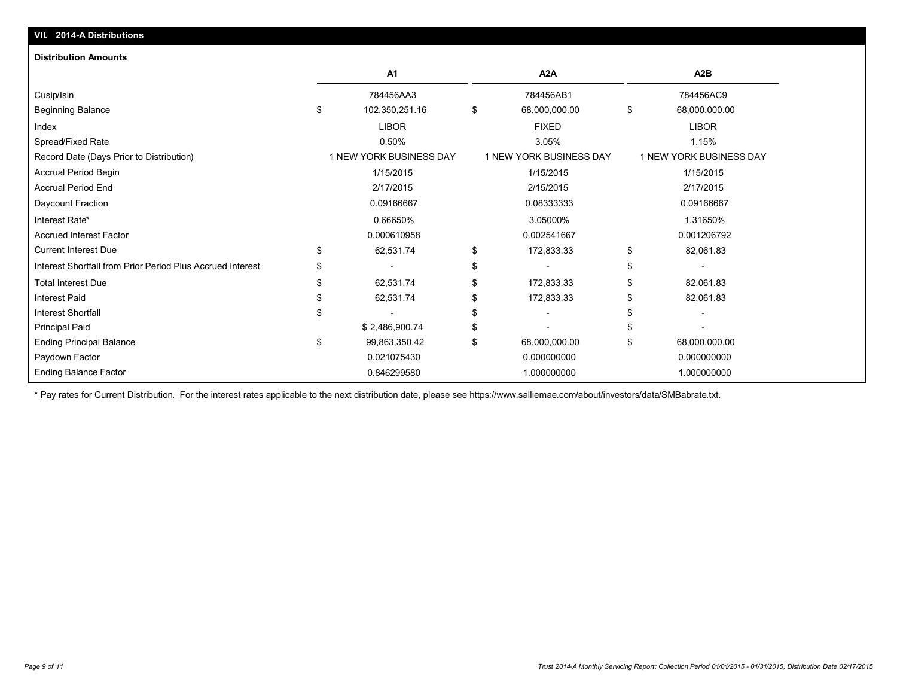| <b>Distribution Amounts</b>                                |     |                         |    |                         |           |                         |  |
|------------------------------------------------------------|-----|-------------------------|----|-------------------------|-----------|-------------------------|--|
|                                                            |     | A <sub>1</sub>          |    | A <sub>2</sub> A        |           | A2B                     |  |
| Cusip/Isin                                                 |     | 784456AA3               |    | 784456AB1               |           | 784456AC9               |  |
| <b>Beginning Balance</b>                                   | \$  | 102,350,251.16          | \$ | 68,000,000.00           | \$        | 68,000,000.00           |  |
| Index                                                      |     | <b>LIBOR</b>            |    | <b>FIXED</b>            |           | <b>LIBOR</b>            |  |
| Spread/Fixed Rate                                          |     | 0.50%                   |    | 3.05%                   |           | 1.15%                   |  |
| Record Date (Days Prior to Distribution)                   |     | 1 NEW YORK BUSINESS DAY |    | 1 NEW YORK BUSINESS DAY |           | 1 NEW YORK BUSINESS DAY |  |
| Accrual Period Begin                                       |     | 1/15/2015               |    | 1/15/2015               | 1/15/2015 |                         |  |
| <b>Accrual Period End</b>                                  |     | 2/17/2015               |    | 2/15/2015               |           | 2/17/2015               |  |
| Daycount Fraction                                          |     | 0.09166667              |    | 0.08333333              |           | 0.09166667              |  |
| Interest Rate*                                             |     | 0.66650%                |    | 3.05000%                |           | 1.31650%                |  |
| <b>Accrued Interest Factor</b>                             |     | 0.000610958             |    | 0.002541667             |           | 0.001206792             |  |
| <b>Current Interest Due</b>                                | \$  | 62,531.74               | \$ | 172,833.33              | \$        | 82,061.83               |  |
| Interest Shortfall from Prior Period Plus Accrued Interest | \$. |                         | \$ |                         | \$        |                         |  |
| <b>Total Interest Due</b>                                  |     | 62,531.74               | \$ | 172,833.33              | \$        | 82,061.83               |  |
| <b>Interest Paid</b>                                       |     | 62,531.74               | \$ | 172,833.33              |           | 82,061.83               |  |
| <b>Interest Shortfall</b>                                  |     |                         | \$ |                         |           |                         |  |
| <b>Principal Paid</b>                                      |     | \$2,486,900.74          | \$ |                         |           |                         |  |
| <b>Ending Principal Balance</b>                            | \$  | 99,863,350.42           | \$ | 68,000,000.00           | \$        | 68,000,000.00           |  |
| Paydown Factor                                             |     | 0.021075430             |    | 0.000000000             |           | 0.000000000             |  |
| <b>Ending Balance Factor</b>                               |     | 0.846299580             |    | 1.000000000             |           | 1.000000000             |  |

\* Pay rates for Current Distribution. For the interest rates applicable to the next distribution date, please see https://www.salliemae.com/about/investors/data/SMBabrate.txt.

**VII. 2014-A Distributions**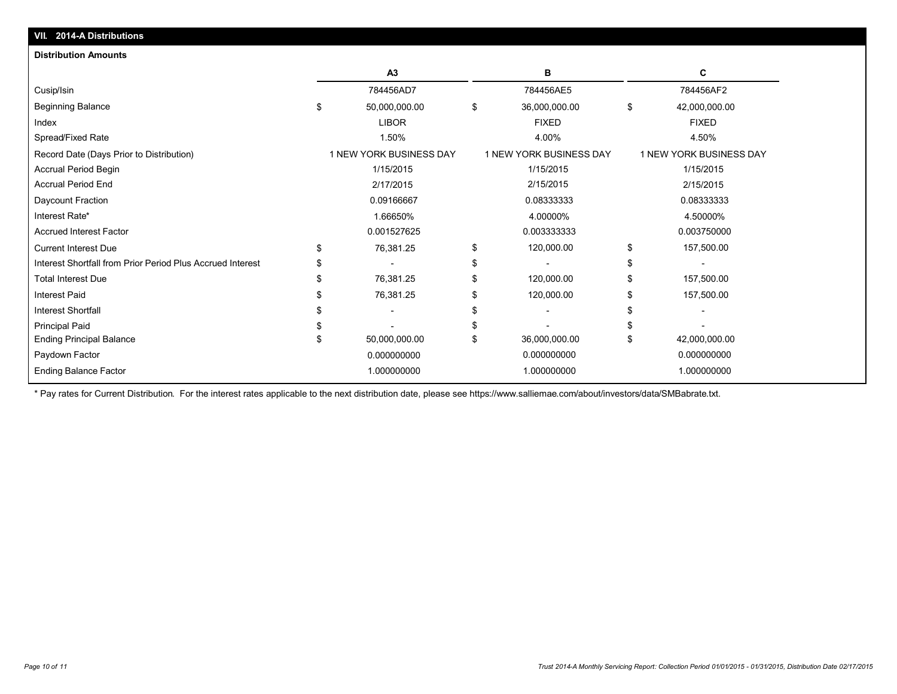| VII. 2014-A Distributions                                  |                                |                         |                         |
|------------------------------------------------------------|--------------------------------|-------------------------|-------------------------|
| <b>Distribution Amounts</b>                                |                                |                         |                         |
|                                                            | A3                             | в                       | C                       |
| Cusip/Isin                                                 | 784456AD7                      | 784456AE5               | 784456AF2               |
| <b>Beginning Balance</b>                                   | \$<br>50,000,000.00            | \$<br>36,000,000.00     | \$<br>42,000,000.00     |
| Index                                                      | <b>LIBOR</b>                   | <b>FIXED</b>            | <b>FIXED</b>            |
| Spread/Fixed Rate                                          | 1.50%                          | 4.00%                   | 4.50%                   |
| Record Date (Days Prior to Distribution)                   | <b>1 NEW YORK BUSINESS DAY</b> | 1 NEW YORK BUSINESS DAY | 1 NEW YORK BUSINESS DAY |
| Accrual Period Begin                                       | 1/15/2015                      | 1/15/2015               | 1/15/2015               |
| <b>Accrual Period End</b>                                  | 2/17/2015                      | 2/15/2015               | 2/15/2015               |
| Daycount Fraction                                          | 0.09166667                     | 0.08333333              | 0.08333333              |
| Interest Rate*                                             | 1.66650%                       | 4.00000%                | 4.50000%                |
| <b>Accrued Interest Factor</b>                             | 0.001527625                    | 0.003333333             | 0.003750000             |
| <b>Current Interest Due</b>                                | \$<br>76,381.25                | \$<br>120,000.00        | \$<br>157,500.00        |
| Interest Shortfall from Prior Period Plus Accrued Interest |                                | \$                      |                         |
| <b>Total Interest Due</b>                                  | 76,381.25                      | \$<br>120,000.00        | 157,500.00              |
| <b>Interest Paid</b>                                       | 76,381.25                      | 120,000.00              | 157,500.00              |
| <b>Interest Shortfall</b>                                  |                                |                         |                         |
| Principal Paid                                             |                                |                         |                         |
| <b>Ending Principal Balance</b>                            | 50,000,000.00                  | \$<br>36,000,000.00     | \$<br>42,000,000.00     |
| Paydown Factor                                             | 0.000000000                    | 0.000000000             | 0.000000000             |
| <b>Ending Balance Factor</b>                               | 1.000000000                    | 1.000000000             | 1.000000000             |

\* Pay rates for Current Distribution. For the interest rates applicable to the next distribution date, please see https://www.salliemae.com/about/investors/data/SMBabrate.txt.